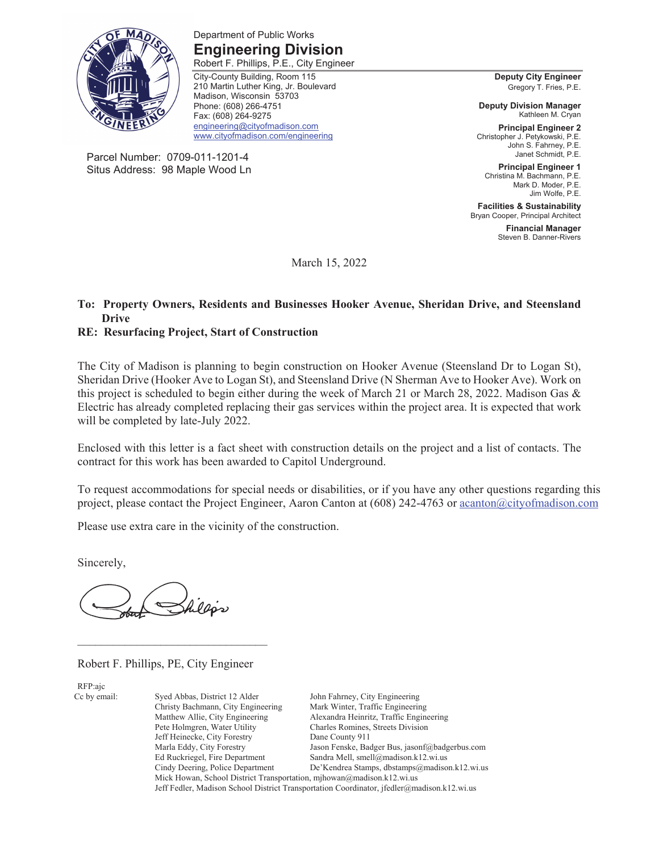

Parcel Number: 0709-011-1201-4 Situs Address: 98 Maple Wood Ln

Department of Public Works **Engineering Division**  Robert F. Phillips, P.E., City Engineer

City-County Building, Room 115 210 Martin Luther King, Jr. Boulevard Madison, Wisconsin 53703 Phone: (608) 266-4751 Fax: (608) 264-9275 engineering@cityofmadison.com www.cityofmadison.com/engineering

**Deputy City Engineer**  Gregory T. Fries, P.E.

**Deputy Division Manager**  Kathleen M. Cryan

**Principal Engineer 2**  Christopher J. Petykowski, P.E. John S. Fahrney, P.E. Janet Schmidt, P.E.

**Principal Engineer 1**  Christina M. Bachmann, P.E. Mark D. Moder, P.E. Jim Wolfe, P.E.

**Facilities & Sustainability**  Bryan Cooper, Principal Architect

> **Financial Manager**  Steven B. Danner-Rivers

March 15, 2022

#### **To: Property Owners, Residents and Businesses Hooker Avenue, Sheridan Drive, and Steensland Drive**

#### **RE: Resurfacing Project, Start of Construction**

The City of Madison is planning to begin construction on Hooker Avenue (Steensland Dr to Logan St), Sheridan Drive (Hooker Ave to Logan St), and Steensland Drive (N Sherman Ave to Hooker Ave). Work on this project is scheduled to begin either during the week of March 21 or March 28, 2022. Madison Gas & Electric has already completed replacing their gas services within the project area. It is expected that work will be completed by late-July 2022.

Enclosed with this letter is a fact sheet with construction details on the project and a list of contacts. The contract for this work has been awarded to Capitol Underground.

To request accommodations for special needs or disabilities, or if you have any other questions regarding this project, please contact the Project Engineer, Aaron Canton at (608) 242-4763 or acanton@cityofmadison.com

Please use extra care in the vicinity of the construction.

Sincerely,

Robert F. Phillips, PE, City Engineer

 $\mathcal{L}_\text{max}$ 

RFP:ajc

Cc by email: Syed Abbas, District 12 Alder John Fahrney, City Engineering Christy Bachmann, City Engineering Mark Winter, Traffic Engineering Pete Holmgren, Water Utility Charles Romines, Streets Division Jeff Heinecke, City Forestry Dane County 911 Mick Howan, School District Transportation, mjhowan@madison.k12.wi.us

Alexandra Heinritz, Traffic Engineering Marla Eddy, City Forestry Jason Fenske, Badger Bus, jasonf@badgerbus.com Ed Ruckriegel, Fire Department Sandra Mell, smell@madison.k12.wi.us Cindy Deering, Police Department De'Kendrea Stamps, dbstamps@madison.k12.wi.us Jeff Fedler, Madison School District Transportation Coordinator, jfedler@madison.k12.wi.us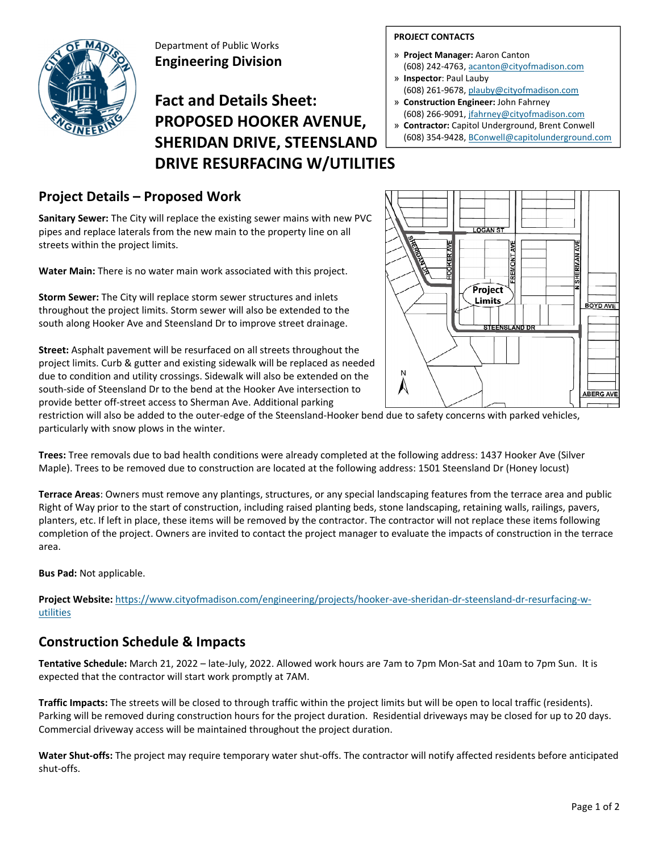

Department of Public Works **Engineering Division**

# **Fact and Details Sheet: PROPOSED HOOKER AVENUE, SHERIDAN DRIVE, STEENSLAND DRIVE RESURFACING W/UTILITIES**

## **Project Details – Proposed Work**

**Sanitary Sewer:** The City will replace the existing sewer mains with new PVC pipes and replace laterals from the new main to the property line on all streets within the project limits.

**Water Main:** There is no water main work associated with this project.

**Storm Sewer:** The City will replace storm sewer structures and inlets throughout the project limits. Storm sewer will also be extended to the south along Hooker Ave and Steensland Dr to improve street drainage.

**Street:** Asphalt pavement will be resurfaced on all streets throughout the project limits. Curb & gutter and existing sidewalk will be replaced as needed due to condition and utility crossings. Sidewalk will also be extended on the south‐side of Steensland Dr to the bend at the Hooker Ave intersection to provide better off‐street access to Sherman Ave. Additional parking

#### **PROJECT CONTACTS**

- » **Project Manager:** Aaron Canton (608) 242‐4763, acanton@cityofmadison.com
- » **Inspector**: Paul Lauby
- (608) 261‐9678, plauby@cityofmadison.com » **Construction Engineer:** John Fahrney
- (608) 266‐9091, jfahrney@cityofmadison.com » **Contractor:** Capitol Underground, Brent Conwell
- (608) 354‐9428, BConwell@capitolunderground.com



restriction will also be added to the outer‐edge of the Steensland‐Hooker bend due to safety concerns with parked vehicles, particularly with snow plows in the winter.

**Trees:** Tree removals due to bad health conditions were already completed at the following address: 1437 Hooker Ave (Silver Maple). Trees to be removed due to construction are located at the following address: 1501 Steensland Dr (Honey locust)

**Terrace Areas**: Owners must remove any plantings, structures, or any special landscaping features from the terrace area and public Right of Way prior to the start of construction, including raised planting beds, stone landscaping, retaining walls, railings, pavers, planters, etc. If left in place, these items will be removed by the contractor. The contractor will not replace these items following completion of the project. Owners are invited to contact the project manager to evaluate the impacts of construction in the terrace area.

**Bus Pad:** Not applicable.

**Project Website:** https://www.cityofmadison.com/engineering/projects/hooker‐ave‐sheridan‐dr‐steensland‐dr‐resurfacing‐w‐ utilities

### **Construction Schedule & Impacts**

**Tentative Schedule:** March 21, 2022 – late‐July, 2022. Allowed work hours are 7am to 7pm Mon‐Sat and 10am to 7pm Sun. It is expected that the contractor will start work promptly at 7AM.

**Traffic Impacts:** The streets will be closed to through traffic within the project limits but will be open to local traffic (residents). Parking will be removed during construction hours for the project duration. Residential driveways may be closed for up to 20 days. Commercial driveway access will be maintained throughout the project duration.

**Water Shut‐offs:** The project may require temporary water shut‐offs. The contractor will notify affected residents before anticipated shut‐offs.